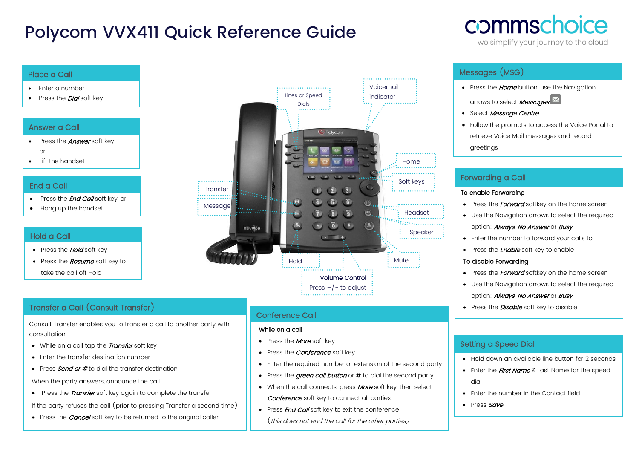# Polycom VVX411 Quick Reference Guide

## Place a Call

- Enter a number
- Press the **Dial** soft key

#### Answer a Call

- Press the **Answer** soft key or
- Lift the handset

#### End a Call

- Press the **End Call** soft key, or
- Hang up the handset

#### Hold a Call

- Press the **Hold** soft key
- Press the **Resume** soft key to take the call off Hold

## Transfer a Call (Consult Transfer)

Consult Transfer enables you to transfer a call to another party with consultation

- While on a call tap the Transfer soft key
- Enter the transfer destination number
- Press **Send or #** to dial the transfer destination

When the party answers, announce the call

• Press the *Transfer* soft key again to complete the transfer

If the party refuses the call (prior to pressing Transfer a second time)

• Press the *Cancel* soft key to be returned to the original caller



### Conference Call

#### While on a call

- Press the **More** soft key
- Press the *Conference* soft key
- Enter the required number or extension of the second party
- Press the *green call button* or # to dial the second party
- When the call connects, press **More** soft key, then select **Conference** soft key to connect all parties
- Press **End Call** soft key to exit the conference (this does not end the call for the other parties)

## Messages (MSG)

- Press the *Home* button, use the Navigation arrows to select **Messages**
- Select Message Centre
- Follow the prompts to access the Voice Portal to retrieve Voice Mail messages and record greetings

commschoice

we simplify your journey to the cloud

## Forwarding a Call

#### To enable Forwarding

- Press the *Forward* softkey on the home screen
- Use the Navigation arrows to select the required option: **Always**, No Answer or Busy
- Enter the number to forward your calls to
- Press the **Enable** soft key to enable

#### To disable Forwarding

- Press the *Forward* softkey on the home screen
- Use the Navigation arrows to select the required option: **Always**, No Answer or Busy
- Press the *Disable* soft key to disable

### Setting a Speed Dial

- Hold down an available line button for 2 seconds
	- Enter the *First Name* & Last Name for the speed dial
	- Enter the number in the Contact field
	- Press Save